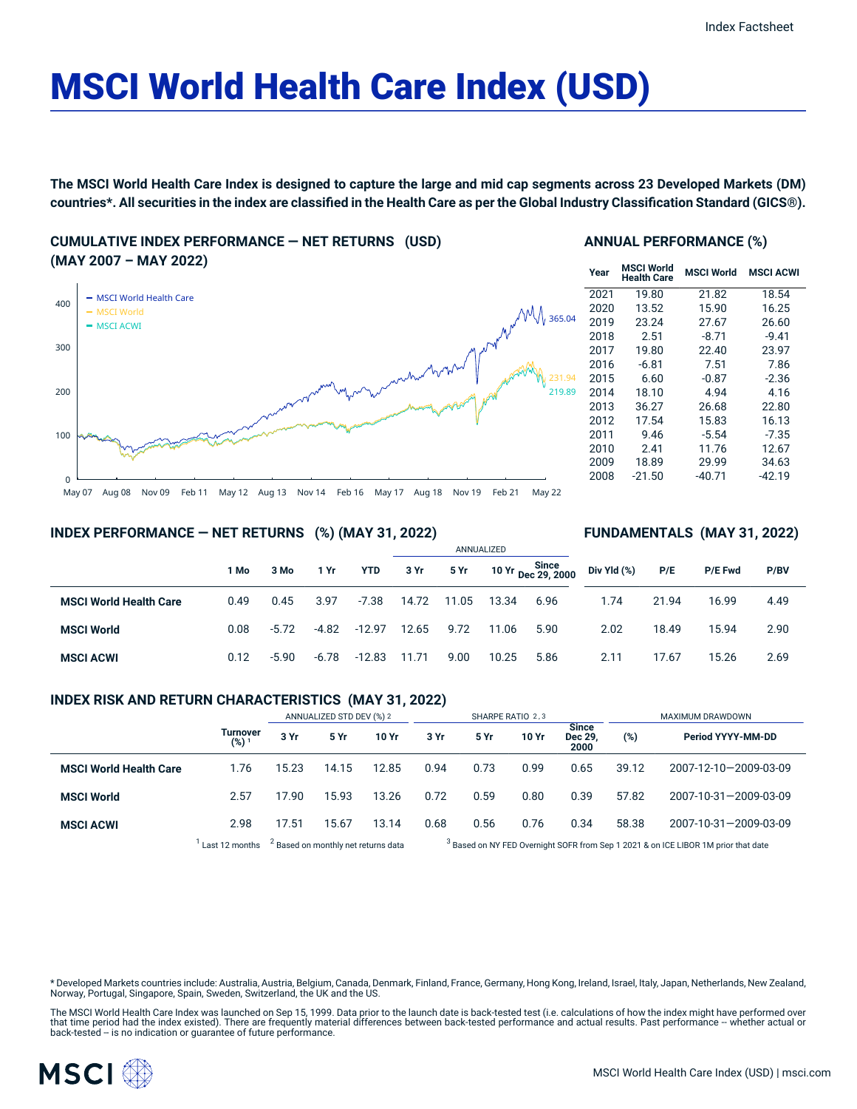# MSCI World Health Care Index (USD)

The MSCI World Health Care Index is designed to capture the large and mid cap segments across 23 Developed Markets (DM) countries\*. All securities in the index are classified in the Health Care as per the Global Industry Classification Standard (GICS®).

**CUMULATIVE INDEX PERFORMANCE — NET RETURNS (USD) (MAY 2007 – MAY 2022)**



## **ANNUAL PERFORMANCE (%)**

| Year | <b>MSCI World</b><br><b>Health Care</b> | <b>MSCI World</b> | <b>MSCI ACWI</b> |
|------|-----------------------------------------|-------------------|------------------|
| 2021 | 19.80                                   | 21.82             | 18.54            |
| 2020 | 13.52                                   | 15.90             | 16.25            |
| 2019 | 23.24                                   | 27.67             | 26.60            |
| 2018 | 2.51                                    | $-8.71$           | $-9.41$          |
| 2017 | 19.80                                   | 22.40             | 23.97            |
| 2016 | $-6.81$                                 | 7.51              | 7.86             |
| 2015 | 6.60                                    | $-0.87$           | $-2.36$          |
| 2014 | 18.10                                   | 4.94              | 4.16             |
| 2013 | 36.27                                   | 26.68             | 22.80            |
| 2012 | 17.54                                   | 15.83             | 16.13            |
| 2011 | 9.46                                    | $-5.54$           | $-7.35$          |
| 2010 | 2.41                                    | 11.76             | 12.67            |
| 2009 | 18.89                                   | 29.99             | 34.63            |
| 2008 | $-21.50$                                | $-40.71$          | $-42.19$         |

**FUNDAMENTALS (MAY 31, 2022)**

#### **INDEX PERFORMANCE — NET RETURNS (%) (MAY 31, 2022)**

|                               |      |         |         |            | ANNUALIZED |       |       |                             |             |       |                |      |  |
|-------------------------------|------|---------|---------|------------|------------|-------|-------|-----------------------------|-------------|-------|----------------|------|--|
|                               | 1 Mo | 3 Mo    | 1 Yr    | <b>YTD</b> | 3 Yr       | 5 Yr  |       | 10 Yr Since<br>Dec 29, 2000 | Div Yld (%) | P/E   | <b>P/E Fwd</b> | P/BV |  |
| <b>MSCI World Health Care</b> | 0.49 | 0.45    | 3.97    | -7.38      | 14.72      | 11.05 | 13.34 | 6.96                        | 1.74        | 21.94 | 16.99          | 4.49 |  |
| <b>MSCI World</b>             | 0.08 | $-5.72$ | $-4.82$ | $-12.97$   | 12.65      | 9.72  | 11.06 | 5.90                        | 2.02        | 18.49 | 15.94          | 2.90 |  |
| <b>MSCI ACWI</b>              | 0.12 | $-5.90$ | $-6.78$ | $-12.83$   | 11.71      | 9.00  | 10.25 | 5.86                        | 2.11        | 17.67 | 15.26          | 2.69 |  |

## **INDEX RISK AND RETURN CHARACTERISTICS (MAY 31, 2022)**

|                               |                     | ANNUALIZED STD DEV (%) 2                       |       |       | SHARPE RATIO 2,3 |      |       |                                 | MAXIMUM DRAWDOWN                                                                              |                       |  |
|-------------------------------|---------------------|------------------------------------------------|-------|-------|------------------|------|-------|---------------------------------|-----------------------------------------------------------------------------------------------|-----------------------|--|
|                               | Turnover<br>$(%)^1$ | 3 Yr                                           | 5 Yr  | 10 Yr | 3 Yr             | 5 Yr | 10 Yr | <b>Since</b><br>Dec 29,<br>2000 | (%)                                                                                           | Period YYYY-MM-DD     |  |
| <b>MSCI World Health Care</b> | 1.76                | 15.23                                          | 14.15 | 12.85 | 0.94             | 0.73 | 0.99  | 0.65                            | 39.12                                                                                         | 2007-12-10-2009-03-09 |  |
| <b>MSCI World</b>             | 2.57                | 17.90                                          | 15.93 | 13.26 | 0.72             | 0.59 | 0.80  | 0.39                            | 57.82                                                                                         | 2007-10-31-2009-03-09 |  |
| <b>MSCI ACWI</b>              | 2.98                | 17.51                                          | 15.67 | 13.14 | 0.68             | 0.56 | 0.76  | 0.34                            | 58.38                                                                                         | 2007-10-31-2009-03-09 |  |
|                               | Last 12 months      | <sup>2</sup> Based on monthly net returns data |       |       |                  |      |       |                                 | <sup>3</sup> Based on NY FED Overnight SOFR from Sep 1 2021 & on ICE LIBOR 1M prior that date |                       |  |

\* Developed Markets countries include: Australia, Austria, Belgium, Canada, Denmark, Finland, France, Germany, Hong Kong, Ireland, Israel, Italy, Japan, Netherlands, New Zealand, Norway, Portugal, Singapore, Spain, Sweden, Switzerland, the UK and the US.

The MSCI World Health Care Index was launched on Sep 15, 1999. Data prior to the launch date is back-tested test (i.e. calculations of how the index might have performed over that time period had the index existed). There are frequently material differences between back-tested performance and actual results. Past performance -- whether actual or<br>back-tested -- is no indication or guarantee of f

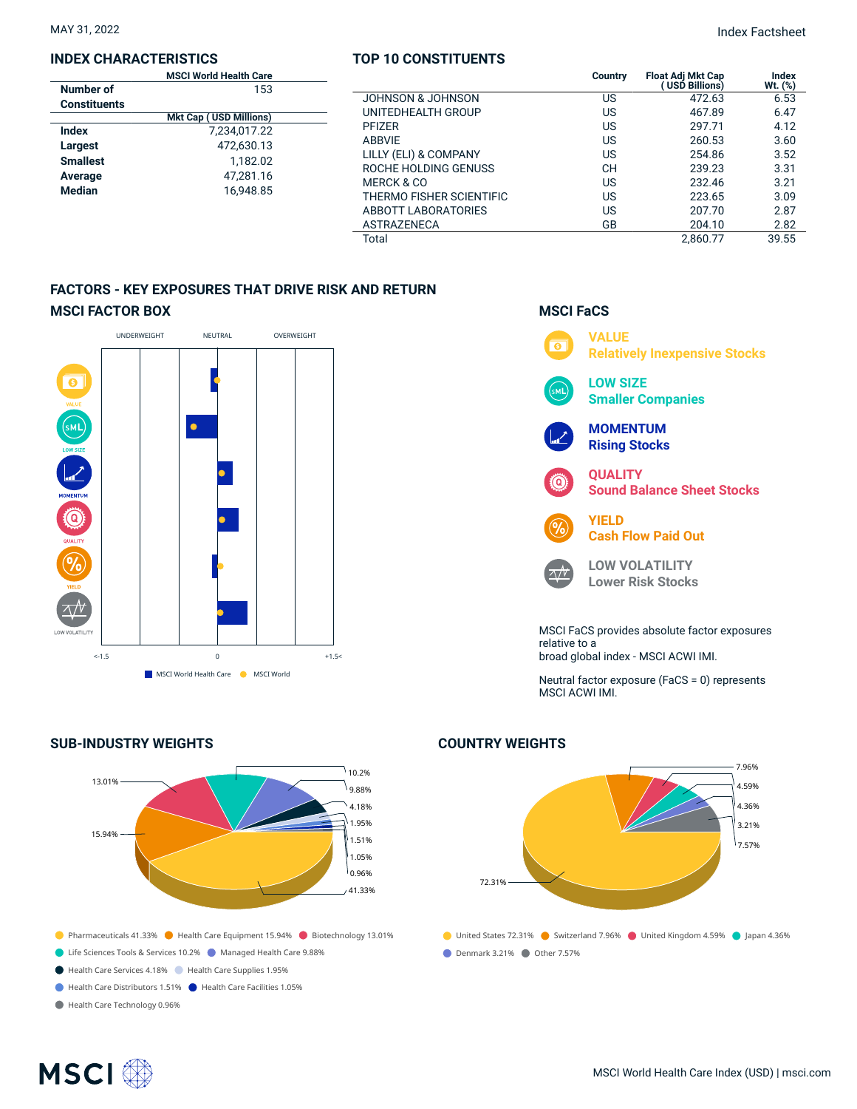#### **INDEX CHARACTERISTICS**

| <b>MSCI World Health Care</b> |  |
|-------------------------------|--|
| 153                           |  |
|                               |  |
| <b>Mkt Cap (USD Millions)</b> |  |
| 7,234,017.22                  |  |
| 472.630.13                    |  |
| 1.182.02                      |  |
| 47.281.16                     |  |
| 16.948.85                     |  |
|                               |  |

## **TOP 10 CONSTITUENTS**

| <b>MSCI World Health Care</b> |                          | <b>Country</b> | <b>Float Adi Mkt Cap</b><br>(USD Billions) | Index      |
|-------------------------------|--------------------------|----------------|--------------------------------------------|------------|
| 153                           |                          |                |                                            | Wt. $(\%)$ |
| ıts                           | JOHNSON & JOHNSON        | US             | 472.63                                     | 6.53       |
| <b>Mkt Cap (USD Millions)</b> | UNITEDHEALTH GROUP       | US             | 467.89                                     | 6.47       |
| 7,234,017.22                  | <b>PFIZER</b>            | US             | 297.71                                     | 4.12       |
| 472,630.13                    | <b>ABBVIE</b>            | US             | 260.53                                     | 3.60       |
| 1,182.02                      | LILLY (ELI) & COMPANY    | US             | 254.86                                     | 3.52       |
|                               | ROCHE HOLDING GENUSS     | CН             | 239.23                                     | 3.31       |
| 47.281.16<br>16.948.85        | <b>MERCK &amp; CO</b>    | US             | 232.46                                     | 3.21       |
|                               | THERMO FISHER SCIENTIFIC | US             | 223.65                                     | 3.09       |
|                               | ABBOTT LABORATORIES      | US             | 207.70                                     | 2.87       |
|                               | <b>ASTRAZENECA</b>       | GB             | 204.10                                     | 2.82       |
|                               | Total                    |                | 2.860.77                                   | 39.55      |

# **FACTORS - KEY EXPOSURES THAT DRIVE RISK AND RETURN MSCI FACTOR BOX**



# **O** Pharmaceuticals 41.33% **O** Health Care Equipment 15.94% **O** Biotechnology 13.01% Life Sciences Tools & Services 10.2% Managed Health Care 9.88% Health Care Services 4.18% Health Care Supplies 1.95% Health Care Distributors 1.51% Health Care Facilities 1.05% 13.01% 15.94% 10.2% 9.88% 4.18% 1.95% 1.51% 1.05% 0.96% 41.33%

Health Care Technology 0.96%

**SUB-INDUSTRY WEIGHTS**

**VALUE**  $\overline{\bullet}$ **Relatively Inexpensive Stocks LOW SIZE** м١ **Smaller Companies MOMENTUM Rising Stocks QUALITY** ධ **Sound Balance Sheet Stocks YIELD Cash Flow Paid Out LOW VOLATILITY**  $\sqrt{V}$ **Lower Risk Stocks**

**MSCI FaCS**

MSCI FaCS provides absolute factor exposures relative to a broad global index - MSCI ACWI IMI.

Neutral factor exposure (FaCS = 0) represents MSCI ACWI IMI.



# **COUNTRY WEIGHTS**